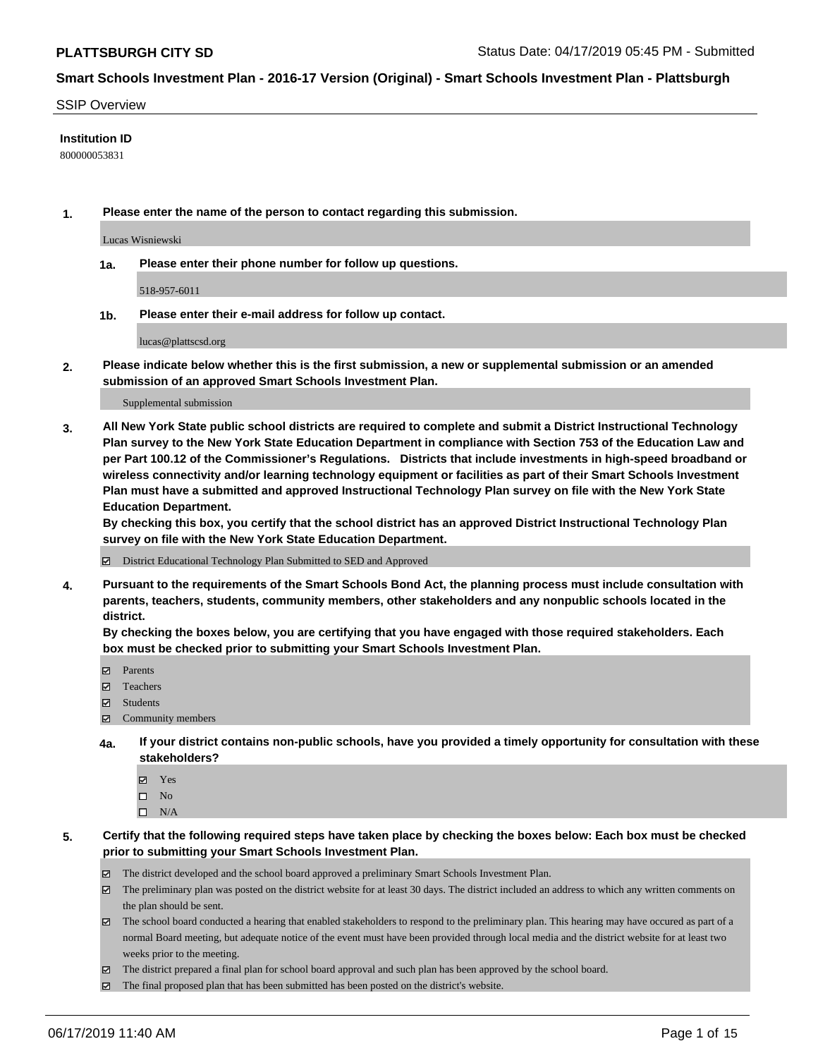#### SSIP Overview

#### **Institution ID**

800000053831

**1. Please enter the name of the person to contact regarding this submission.**

Lucas Wisniewski

**1a. Please enter their phone number for follow up questions.**

518-957-6011

**1b. Please enter their e-mail address for follow up contact.**

lucas@plattscsd.org

**2. Please indicate below whether this is the first submission, a new or supplemental submission or an amended submission of an approved Smart Schools Investment Plan.**

#### Supplemental submission

**3. All New York State public school districts are required to complete and submit a District Instructional Technology Plan survey to the New York State Education Department in compliance with Section 753 of the Education Law and per Part 100.12 of the Commissioner's Regulations. Districts that include investments in high-speed broadband or wireless connectivity and/or learning technology equipment or facilities as part of their Smart Schools Investment Plan must have a submitted and approved Instructional Technology Plan survey on file with the New York State Education Department.** 

**By checking this box, you certify that the school district has an approved District Instructional Technology Plan survey on file with the New York State Education Department.**

District Educational Technology Plan Submitted to SED and Approved

**4. Pursuant to the requirements of the Smart Schools Bond Act, the planning process must include consultation with parents, teachers, students, community members, other stakeholders and any nonpublic schools located in the district.** 

**By checking the boxes below, you are certifying that you have engaged with those required stakeholders. Each box must be checked prior to submitting your Smart Schools Investment Plan.**

- Parents
- Teachers
- Students
- Community members
- **4a. If your district contains non-public schools, have you provided a timely opportunity for consultation with these stakeholders?**
	- Yes
	- $\square$  No
	- $\square$  N/A
- **5. Certify that the following required steps have taken place by checking the boxes below: Each box must be checked prior to submitting your Smart Schools Investment Plan.**
	- The district developed and the school board approved a preliminary Smart Schools Investment Plan.
	- $\boxtimes$  The preliminary plan was posted on the district website for at least 30 days. The district included an address to which any written comments on the plan should be sent.
	- $\boxtimes$  The school board conducted a hearing that enabled stakeholders to respond to the preliminary plan. This hearing may have occured as part of a normal Board meeting, but adequate notice of the event must have been provided through local media and the district website for at least two weeks prior to the meeting.
	- The district prepared a final plan for school board approval and such plan has been approved by the school board.
	- $\boxtimes$  The final proposed plan that has been submitted has been posted on the district's website.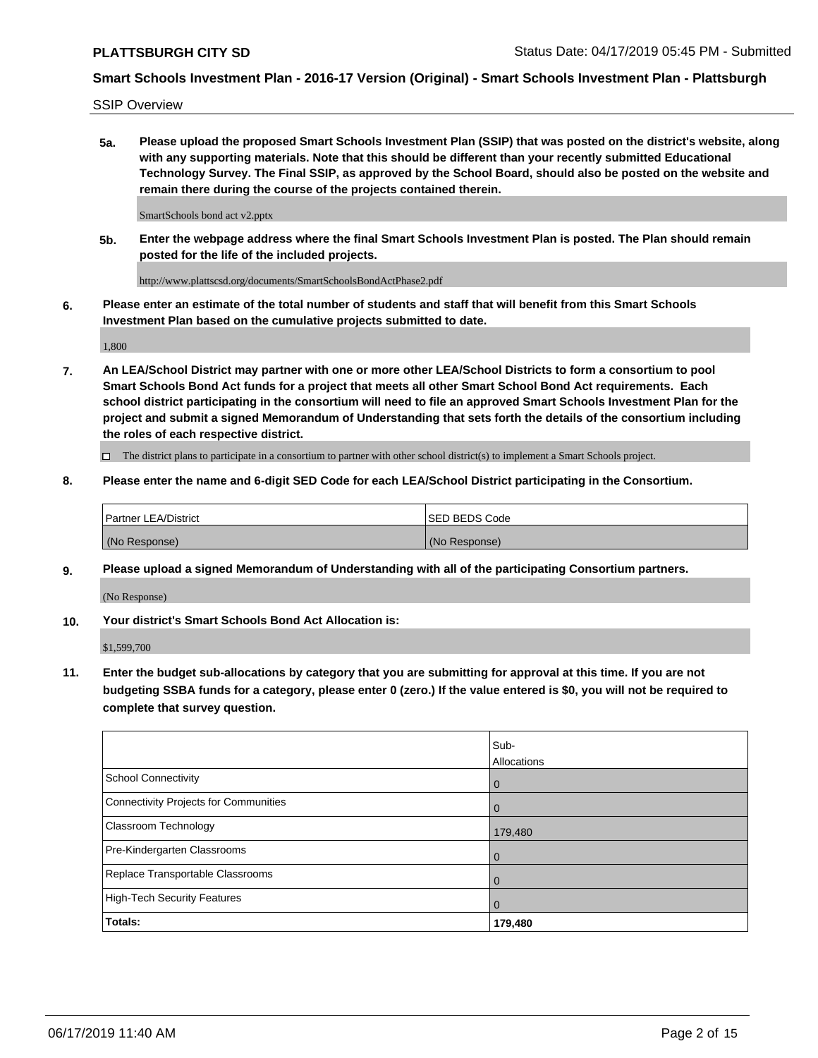SSIP Overview

**5a. Please upload the proposed Smart Schools Investment Plan (SSIP) that was posted on the district's website, along with any supporting materials. Note that this should be different than your recently submitted Educational Technology Survey. The Final SSIP, as approved by the School Board, should also be posted on the website and remain there during the course of the projects contained therein.**

SmartSchools bond act v2.pptx

**5b. Enter the webpage address where the final Smart Schools Investment Plan is posted. The Plan should remain posted for the life of the included projects.**

http://www.plattscsd.org/documents/SmartSchoolsBondActPhase2.pdf

**6. Please enter an estimate of the total number of students and staff that will benefit from this Smart Schools Investment Plan based on the cumulative projects submitted to date.**

1,800

**7. An LEA/School District may partner with one or more other LEA/School Districts to form a consortium to pool Smart Schools Bond Act funds for a project that meets all other Smart School Bond Act requirements. Each school district participating in the consortium will need to file an approved Smart Schools Investment Plan for the project and submit a signed Memorandum of Understanding that sets forth the details of the consortium including the roles of each respective district.**

 $\Box$  The district plans to participate in a consortium to partner with other school district(s) to implement a Smart Schools project.

#### **8. Please enter the name and 6-digit SED Code for each LEA/School District participating in the Consortium.**

| l Partner LEA/District | ISED BEDS Code |
|------------------------|----------------|
| (No Response)          | (No Response)  |

#### **9. Please upload a signed Memorandum of Understanding with all of the participating Consortium partners.**

(No Response)

**10. Your district's Smart Schools Bond Act Allocation is:**

\$1,599,700

**11. Enter the budget sub-allocations by category that you are submitting for approval at this time. If you are not budgeting SSBA funds for a category, please enter 0 (zero.) If the value entered is \$0, you will not be required to complete that survey question.**

|                                       | Sub-<br><b>Allocations</b> |
|---------------------------------------|----------------------------|
| School Connectivity                   | l 0                        |
| Connectivity Projects for Communities | $\Omega$                   |
| <b>Classroom Technology</b>           | 179,480                    |
| Pre-Kindergarten Classrooms           | $\overline{0}$             |
| Replace Transportable Classrooms      | $\Omega$                   |
| High-Tech Security Features           | 0                          |
| Totals:                               | 179,480                    |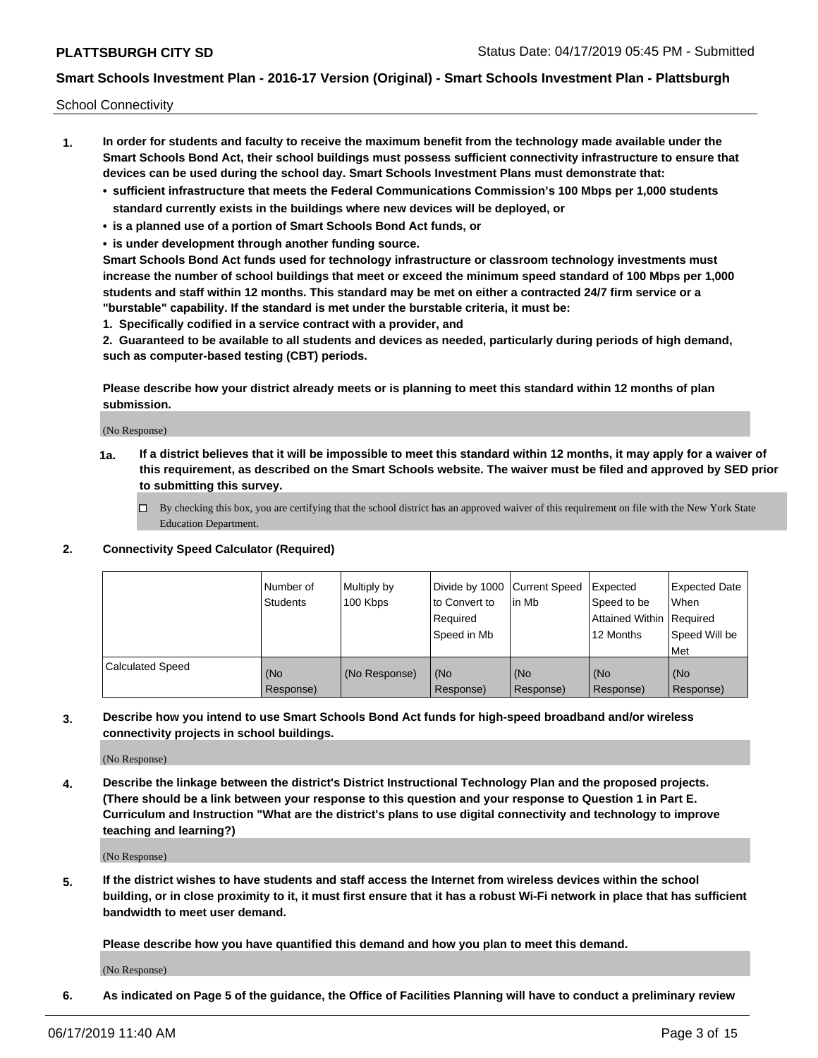School Connectivity

- **1. In order for students and faculty to receive the maximum benefit from the technology made available under the Smart Schools Bond Act, their school buildings must possess sufficient connectivity infrastructure to ensure that devices can be used during the school day. Smart Schools Investment Plans must demonstrate that:**
	- **• sufficient infrastructure that meets the Federal Communications Commission's 100 Mbps per 1,000 students standard currently exists in the buildings where new devices will be deployed, or**
	- **• is a planned use of a portion of Smart Schools Bond Act funds, or**
	- **• is under development through another funding source.**

**Smart Schools Bond Act funds used for technology infrastructure or classroom technology investments must increase the number of school buildings that meet or exceed the minimum speed standard of 100 Mbps per 1,000 students and staff within 12 months. This standard may be met on either a contracted 24/7 firm service or a "burstable" capability. If the standard is met under the burstable criteria, it must be:**

**1. Specifically codified in a service contract with a provider, and**

**2. Guaranteed to be available to all students and devices as needed, particularly during periods of high demand, such as computer-based testing (CBT) periods.**

**Please describe how your district already meets or is planning to meet this standard within 12 months of plan submission.**

(No Response)

**1a. If a district believes that it will be impossible to meet this standard within 12 months, it may apply for a waiver of this requirement, as described on the Smart Schools website. The waiver must be filed and approved by SED prior to submitting this survey.**

 $\Box$  By checking this box, you are certifying that the school district has an approved waiver of this requirement on file with the New York State Education Department.

#### **2. Connectivity Speed Calculator (Required)**

|                         | l Number of<br><b>Students</b> | Multiply by<br>100 Kbps | Divide by 1000 Current Speed<br>to Convert to<br>Required<br>l Speed in Mb | lin Mb           | Expected<br>Speed to be<br>Attained Within   Required<br>12 Months | <b>Expected Date</b><br>When<br>Speed Will be<br>Met |
|-------------------------|--------------------------------|-------------------------|----------------------------------------------------------------------------|------------------|--------------------------------------------------------------------|------------------------------------------------------|
| <b>Calculated Speed</b> | (No<br>Response)               | (No Response)           | (No<br>Response)                                                           | (No<br>Response) | (No<br>Response)                                                   | (No<br>Response)                                     |

**3. Describe how you intend to use Smart Schools Bond Act funds for high-speed broadband and/or wireless connectivity projects in school buildings.**

(No Response)

**4. Describe the linkage between the district's District Instructional Technology Plan and the proposed projects. (There should be a link between your response to this question and your response to Question 1 in Part E. Curriculum and Instruction "What are the district's plans to use digital connectivity and technology to improve teaching and learning?)**

(No Response)

**5. If the district wishes to have students and staff access the Internet from wireless devices within the school building, or in close proximity to it, it must first ensure that it has a robust Wi-Fi network in place that has sufficient bandwidth to meet user demand.**

**Please describe how you have quantified this demand and how you plan to meet this demand.**

(No Response)

**6. As indicated on Page 5 of the guidance, the Office of Facilities Planning will have to conduct a preliminary review**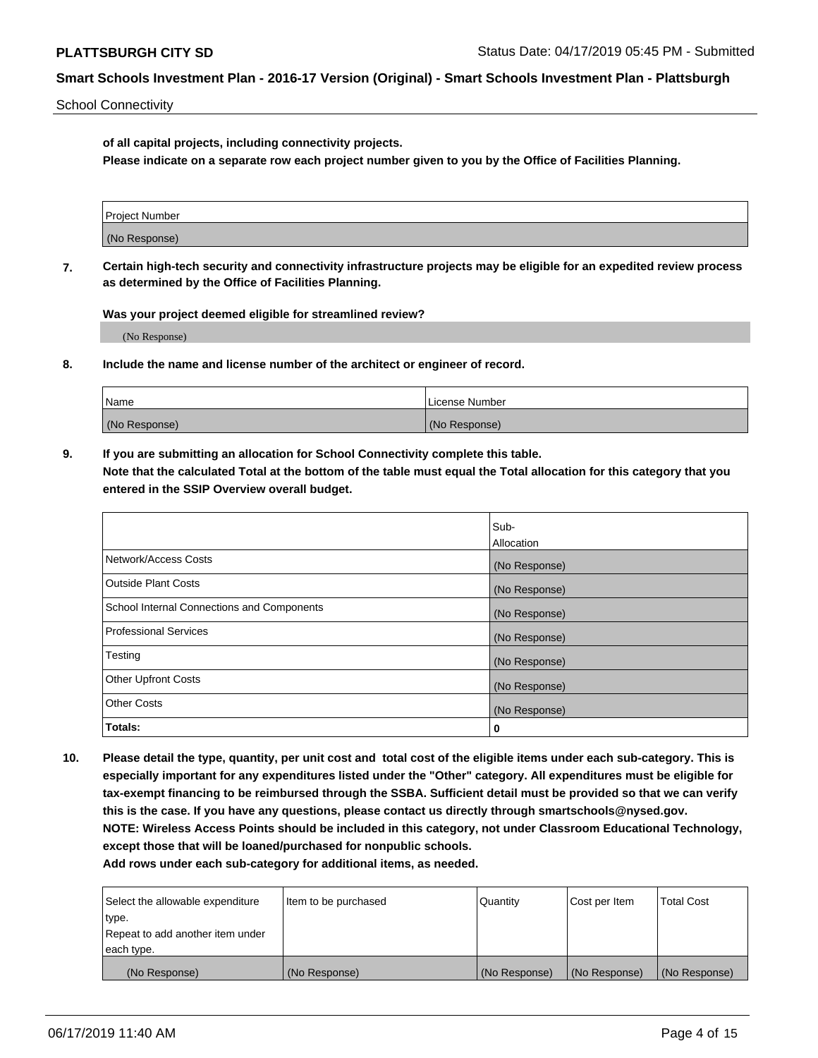School Connectivity

**of all capital projects, including connectivity projects.**

**Please indicate on a separate row each project number given to you by the Office of Facilities Planning.**

| Project Number |  |
|----------------|--|
|                |  |
| (No Response)  |  |
|                |  |

**7. Certain high-tech security and connectivity infrastructure projects may be eligible for an expedited review process as determined by the Office of Facilities Planning.**

**Was your project deemed eligible for streamlined review?**

(No Response)

**8. Include the name and license number of the architect or engineer of record.**

| Name          | License Number |
|---------------|----------------|
| (No Response) | (No Response)  |

**9. If you are submitting an allocation for School Connectivity complete this table. Note that the calculated Total at the bottom of the table must equal the Total allocation for this category that you entered in the SSIP Overview overall budget.** 

|                                            | Sub-          |
|--------------------------------------------|---------------|
|                                            | Allocation    |
| Network/Access Costs                       | (No Response) |
| Outside Plant Costs                        | (No Response) |
| School Internal Connections and Components | (No Response) |
| <b>Professional Services</b>               | (No Response) |
| Testing                                    | (No Response) |
| <b>Other Upfront Costs</b>                 | (No Response) |
| <b>Other Costs</b>                         | (No Response) |
| Totals:                                    | 0             |

**10. Please detail the type, quantity, per unit cost and total cost of the eligible items under each sub-category. This is especially important for any expenditures listed under the "Other" category. All expenditures must be eligible for tax-exempt financing to be reimbursed through the SSBA. Sufficient detail must be provided so that we can verify this is the case. If you have any questions, please contact us directly through smartschools@nysed.gov. NOTE: Wireless Access Points should be included in this category, not under Classroom Educational Technology, except those that will be loaned/purchased for nonpublic schools.**

| Select the allowable expenditure | Item to be purchased | Quantity      | <b>Cost per Item</b> | <b>Total Cost</b> |
|----------------------------------|----------------------|---------------|----------------------|-------------------|
| type.                            |                      |               |                      |                   |
| Repeat to add another item under |                      |               |                      |                   |
| each type.                       |                      |               |                      |                   |
| (No Response)                    | (No Response)        | (No Response) | (No Response)        | (No Response)     |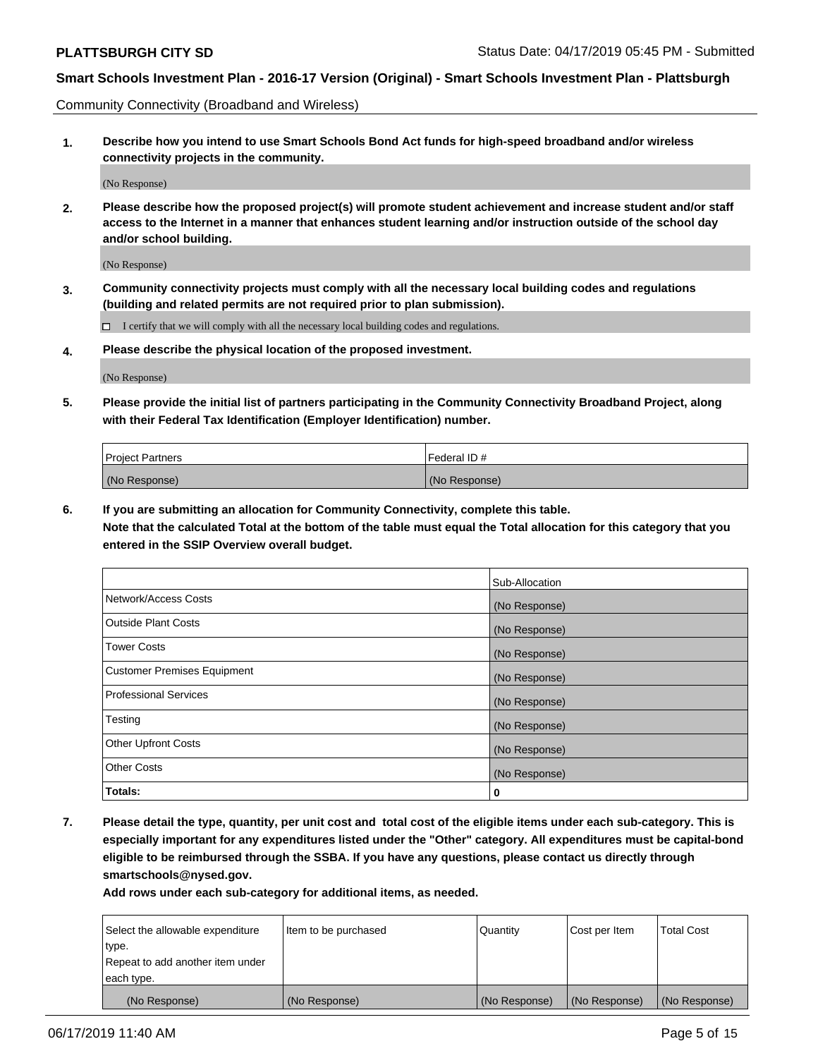Community Connectivity (Broadband and Wireless)

**1. Describe how you intend to use Smart Schools Bond Act funds for high-speed broadband and/or wireless connectivity projects in the community.**

(No Response)

**2. Please describe how the proposed project(s) will promote student achievement and increase student and/or staff access to the Internet in a manner that enhances student learning and/or instruction outside of the school day and/or school building.**

(No Response)

**3. Community connectivity projects must comply with all the necessary local building codes and regulations (building and related permits are not required prior to plan submission).**

 $\Box$  I certify that we will comply with all the necessary local building codes and regulations.

**4. Please describe the physical location of the proposed investment.**

(No Response)

**5. Please provide the initial list of partners participating in the Community Connectivity Broadband Project, along with their Federal Tax Identification (Employer Identification) number.**

| <b>Project Partners</b> | <sup>I</sup> Federal ID # |
|-------------------------|---------------------------|
| (No Response)           | (No Response)             |

**6. If you are submitting an allocation for Community Connectivity, complete this table.**

**Note that the calculated Total at the bottom of the table must equal the Total allocation for this category that you entered in the SSIP Overview overall budget.**

|                                    | Sub-Allocation |
|------------------------------------|----------------|
| Network/Access Costs               | (No Response)  |
| <b>Outside Plant Costs</b>         | (No Response)  |
| <b>Tower Costs</b>                 | (No Response)  |
| <b>Customer Premises Equipment</b> | (No Response)  |
| <b>Professional Services</b>       | (No Response)  |
| Testing                            | (No Response)  |
| <b>Other Upfront Costs</b>         | (No Response)  |
| <b>Other Costs</b>                 | (No Response)  |
| Totals:                            | 0              |

**7. Please detail the type, quantity, per unit cost and total cost of the eligible items under each sub-category. This is especially important for any expenditures listed under the "Other" category. All expenditures must be capital-bond eligible to be reimbursed through the SSBA. If you have any questions, please contact us directly through smartschools@nysed.gov.**

| Select the allowable expenditure<br>type.      | Item to be purchased | Quantity      | Cost per Item | <b>Total Cost</b> |
|------------------------------------------------|----------------------|---------------|---------------|-------------------|
| Repeat to add another item under<br>each type. |                      |               |               |                   |
| (No Response)                                  | (No Response)        | (No Response) | (No Response) | (No Response)     |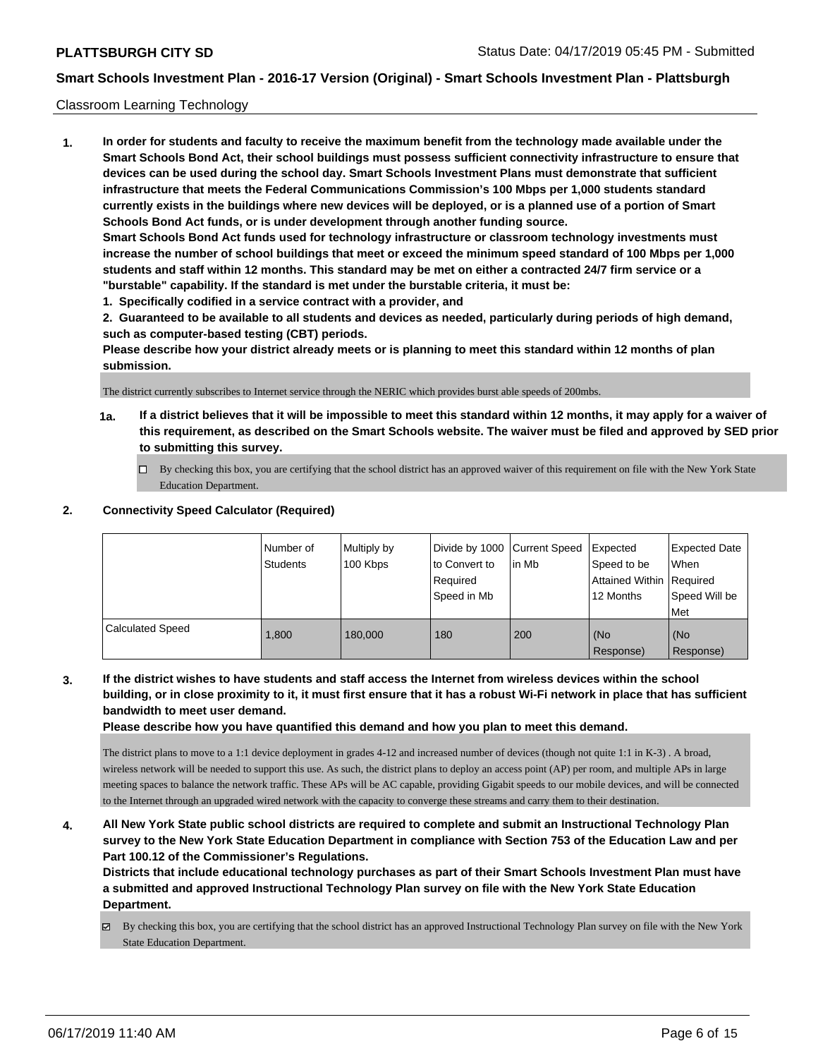#### Classroom Learning Technology

**1. In order for students and faculty to receive the maximum benefit from the technology made available under the Smart Schools Bond Act, their school buildings must possess sufficient connectivity infrastructure to ensure that devices can be used during the school day. Smart Schools Investment Plans must demonstrate that sufficient infrastructure that meets the Federal Communications Commission's 100 Mbps per 1,000 students standard currently exists in the buildings where new devices will be deployed, or is a planned use of a portion of Smart Schools Bond Act funds, or is under development through another funding source. Smart Schools Bond Act funds used for technology infrastructure or classroom technology investments must increase the number of school buildings that meet or exceed the minimum speed standard of 100 Mbps per 1,000 students and staff within 12 months. This standard may be met on either a contracted 24/7 firm service or a "burstable" capability. If the standard is met under the burstable criteria, it must be:**

**1. Specifically codified in a service contract with a provider, and**

**2. Guaranteed to be available to all students and devices as needed, particularly during periods of high demand, such as computer-based testing (CBT) periods.**

**Please describe how your district already meets or is planning to meet this standard within 12 months of plan submission.**

The district currently subscribes to Internet service through the NERIC which provides burst able speeds of 200mbs.

- **1a. If a district believes that it will be impossible to meet this standard within 12 months, it may apply for a waiver of this requirement, as described on the Smart Schools website. The waiver must be filed and approved by SED prior to submitting this survey.**
	- By checking this box, you are certifying that the school district has an approved waiver of this requirement on file with the New York State Education Department.

### **2. Connectivity Speed Calculator (Required)**

|                         | Number of<br>Students | Multiply by<br>100 Kbps | Divide by 1000   Current Speed<br>to Convert to<br>Required<br>Speed in Mb | lin Mb | Expected<br>Speed to be<br><b>Attained Within Required</b><br>12 Months | <b>Expected Date</b><br>When<br>Speed Will be<br>Met |
|-------------------------|-----------------------|-------------------------|----------------------------------------------------------------------------|--------|-------------------------------------------------------------------------|------------------------------------------------------|
| <b>Calculated Speed</b> | 1.800                 | 180,000                 | 180                                                                        | 200    | l (No<br>Response)                                                      | (No<br>Response)                                     |

**3. If the district wishes to have students and staff access the Internet from wireless devices within the school building, or in close proximity to it, it must first ensure that it has a robust Wi-Fi network in place that has sufficient bandwidth to meet user demand.**

**Please describe how you have quantified this demand and how you plan to meet this demand.**

The district plans to move to a 1:1 device deployment in grades 4-12 and increased number of devices (though not quite 1:1 in K-3) . A broad, wireless network will be needed to support this use. As such, the district plans to deploy an access point (AP) per room, and multiple APs in large meeting spaces to balance the network traffic. These APs will be AC capable, providing Gigabit speeds to our mobile devices, and will be connected to the Internet through an upgraded wired network with the capacity to converge these streams and carry them to their destination.

**4. All New York State public school districts are required to complete and submit an Instructional Technology Plan survey to the New York State Education Department in compliance with Section 753 of the Education Law and per Part 100.12 of the Commissioner's Regulations.**

**Districts that include educational technology purchases as part of their Smart Schools Investment Plan must have a submitted and approved Instructional Technology Plan survey on file with the New York State Education Department.**

By checking this box, you are certifying that the school district has an approved Instructional Technology Plan survey on file with the New York State Education Department.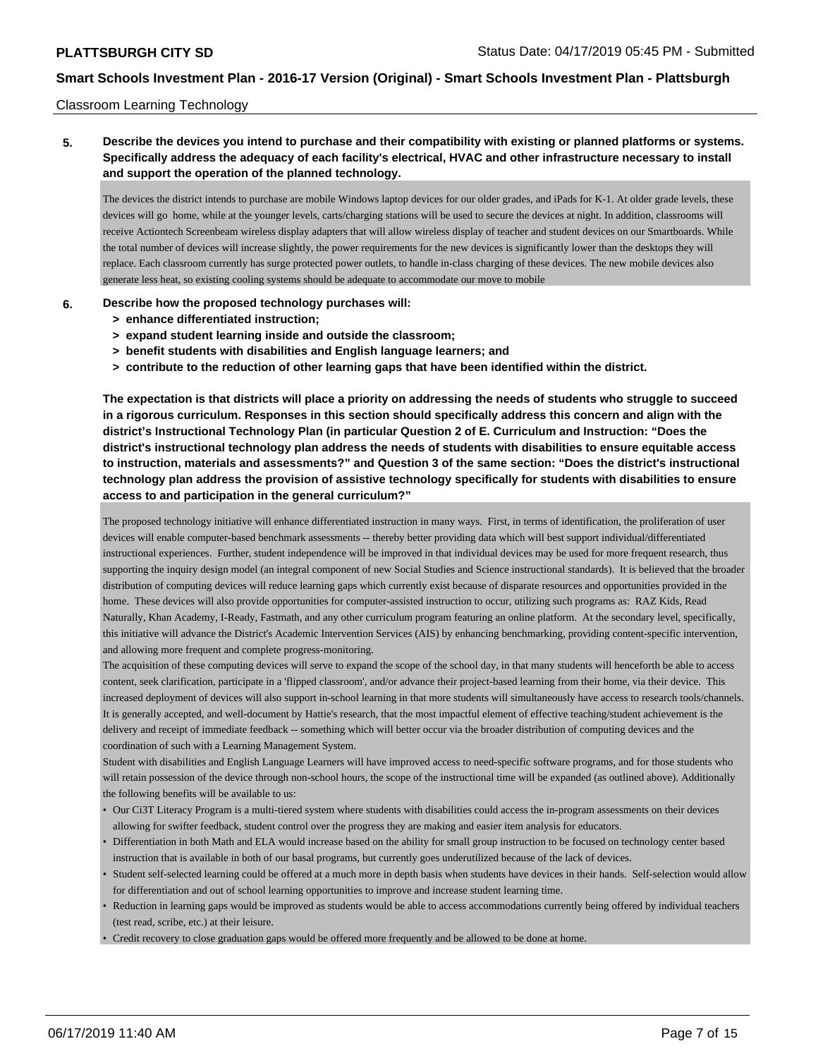#### Classroom Learning Technology

## **5. Describe the devices you intend to purchase and their compatibility with existing or planned platforms or systems. Specifically address the adequacy of each facility's electrical, HVAC and other infrastructure necessary to install and support the operation of the planned technology.**

The devices the district intends to purchase are mobile Windows laptop devices for our older grades, and iPads for K-1. At older grade levels, these devices will go home, while at the younger levels, carts/charging stations will be used to secure the devices at night. In addition, classrooms will receive Actiontech Screenbeam wireless display adapters that will allow wireless display of teacher and student devices on our Smartboards. While the total number of devices will increase slightly, the power requirements for the new devices is significantly lower than the desktops they will replace. Each classroom currently has surge protected power outlets, to handle in-class charging of these devices. The new mobile devices also generate less heat, so existing cooling systems should be adequate to accommodate our move to mobile

#### **6. Describe how the proposed technology purchases will:**

- **> enhance differentiated instruction;**
- **> expand student learning inside and outside the classroom;**
- **> benefit students with disabilities and English language learners; and**
- **> contribute to the reduction of other learning gaps that have been identified within the district.**

**The expectation is that districts will place a priority on addressing the needs of students who struggle to succeed in a rigorous curriculum. Responses in this section should specifically address this concern and align with the district's Instructional Technology Plan (in particular Question 2 of E. Curriculum and Instruction: "Does the district's instructional technology plan address the needs of students with disabilities to ensure equitable access to instruction, materials and assessments?" and Question 3 of the same section: "Does the district's instructional technology plan address the provision of assistive technology specifically for students with disabilities to ensure access to and participation in the general curriculum?"**

The proposed technology initiative will enhance differentiated instruction in many ways. First, in terms of identification, the proliferation of user devices will enable computer-based benchmark assessments -- thereby better providing data which will best support individual/differentiated instructional experiences. Further, student independence will be improved in that individual devices may be used for more frequent research, thus supporting the inquiry design model (an integral component of new Social Studies and Science instructional standards). It is believed that the broader distribution of computing devices will reduce learning gaps which currently exist because of disparate resources and opportunities provided in the home. These devices will also provide opportunities for computer-assisted instruction to occur, utilizing such programs as: RAZ Kids, Read Naturally, Khan Academy, I-Ready, Fastmath, and any other curriculum program featuring an online platform. At the secondary level, specifically, this initiative will advance the District's Academic Intervention Services (AIS) by enhancing benchmarking, providing content-specific intervention, and allowing more frequent and complete progress-monitoring.

The acquisition of these computing devices will serve to expand the scope of the school day, in that many students will henceforth be able to access content, seek clarification, participate in a 'flipped classroom', and/or advance their project-based learning from their home, via their device. This increased deployment of devices will also support in-school learning in that more students will simultaneously have access to research tools/channels. It is generally accepted, and well-document by Hattie's research, that the most impactful element of effective teaching/student achievement is the delivery and receipt of immediate feedback -- something which will better occur via the broader distribution of computing devices and the coordination of such with a Learning Management System.

Student with disabilities and English Language Learners will have improved access to need-specific software programs, and for those students who will retain possession of the device through non-school hours, the scope of the instructional time will be expanded (as outlined above). Additionally the following benefits will be available to us:

- Our Ci3T Literacy Program is a multi-tiered system where students with disabilities could access the in-program assessments on their devices allowing for swifter feedback, student control over the progress they are making and easier item analysis for educators.
- Differentiation in both Math and ELA would increase based on the ability for small group instruction to be focused on technology center based instruction that is available in both of our basal programs, but currently goes underutilized because of the lack of devices.
- Student self-selected learning could be offered at a much more in depth basis when students have devices in their hands. Self-selection would allow for differentiation and out of school learning opportunities to improve and increase student learning time.
- Reduction in learning gaps would be improved as students would be able to access accommodations currently being offered by individual teachers (test read, scribe, etc.) at their leisure.

• Credit recovery to close graduation gaps would be offered more frequently and be allowed to be done at home.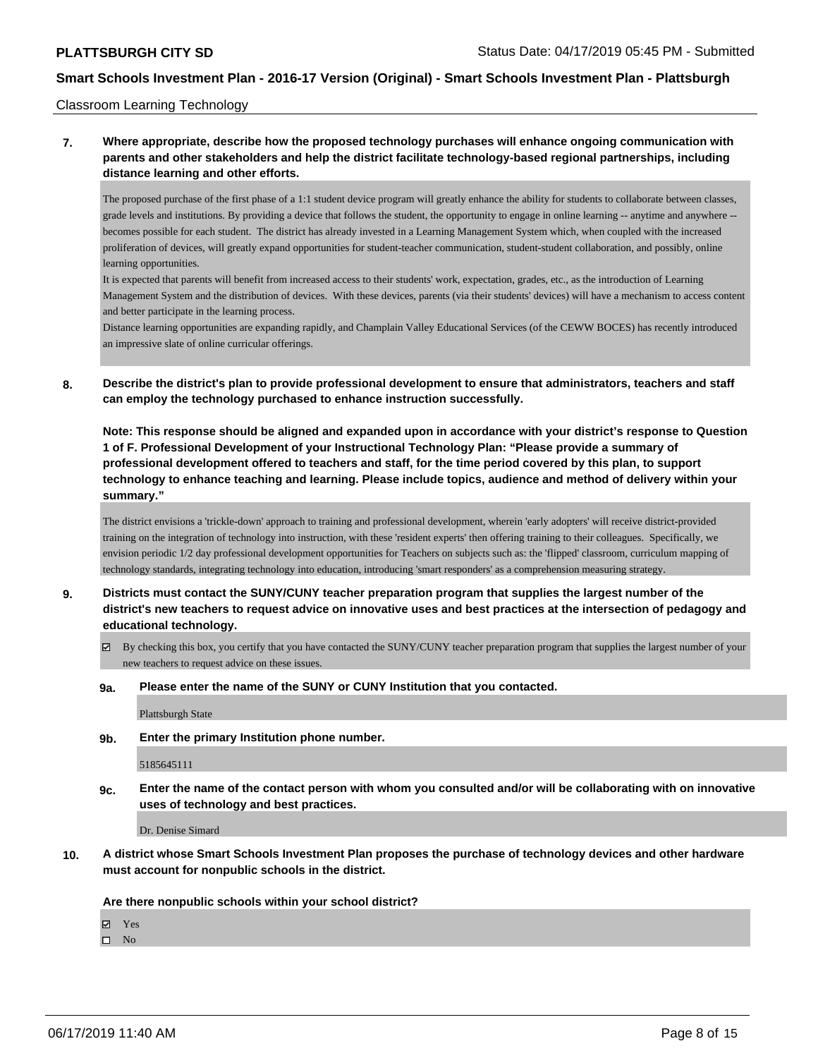Classroom Learning Technology

## **7. Where appropriate, describe how the proposed technology purchases will enhance ongoing communication with parents and other stakeholders and help the district facilitate technology-based regional partnerships, including distance learning and other efforts.**

The proposed purchase of the first phase of a 1:1 student device program will greatly enhance the ability for students to collaborate between classes, grade levels and institutions. By providing a device that follows the student, the opportunity to engage in online learning -- anytime and anywhere - becomes possible for each student. The district has already invested in a Learning Management System which, when coupled with the increased proliferation of devices, will greatly expand opportunities for student-teacher communication, student-student collaboration, and possibly, online learning opportunities.

It is expected that parents will benefit from increased access to their students' work, expectation, grades, etc., as the introduction of Learning Management System and the distribution of devices. With these devices, parents (via their students' devices) will have a mechanism to access content and better participate in the learning process.

Distance learning opportunities are expanding rapidly, and Champlain Valley Educational Services (of the CEWW BOCES) has recently introduced an impressive slate of online curricular offerings.

**8. Describe the district's plan to provide professional development to ensure that administrators, teachers and staff can employ the technology purchased to enhance instruction successfully.**

**Note: This response should be aligned and expanded upon in accordance with your district's response to Question 1 of F. Professional Development of your Instructional Technology Plan: "Please provide a summary of professional development offered to teachers and staff, for the time period covered by this plan, to support technology to enhance teaching and learning. Please include topics, audience and method of delivery within your summary."**

The district envisions a 'trickle-down' approach to training and professional development, wherein 'early adopters' will receive district-provided training on the integration of technology into instruction, with these 'resident experts' then offering training to their colleagues. Specifically, we envision periodic 1/2 day professional development opportunities for Teachers on subjects such as: the 'flipped' classroom, curriculum mapping of technology standards, integrating technology into education, introducing 'smart responders' as a comprehension measuring strategy.

- **9. Districts must contact the SUNY/CUNY teacher preparation program that supplies the largest number of the district's new teachers to request advice on innovative uses and best practices at the intersection of pedagogy and educational technology.**
	- $\boxtimes$  By checking this box, you certify that you have contacted the SUNY/CUNY teacher preparation program that supplies the largest number of your new teachers to request advice on these issues.
	- **9a. Please enter the name of the SUNY or CUNY Institution that you contacted.**

Plattsburgh State

**9b. Enter the primary Institution phone number.**

5185645111

**9c. Enter the name of the contact person with whom you consulted and/or will be collaborating with on innovative uses of technology and best practices.**

Dr. Denise Simard

**10. A district whose Smart Schools Investment Plan proposes the purchase of technology devices and other hardware must account for nonpublic schools in the district.**

**Are there nonpublic schools within your school district?**

Yes

 $\square$  No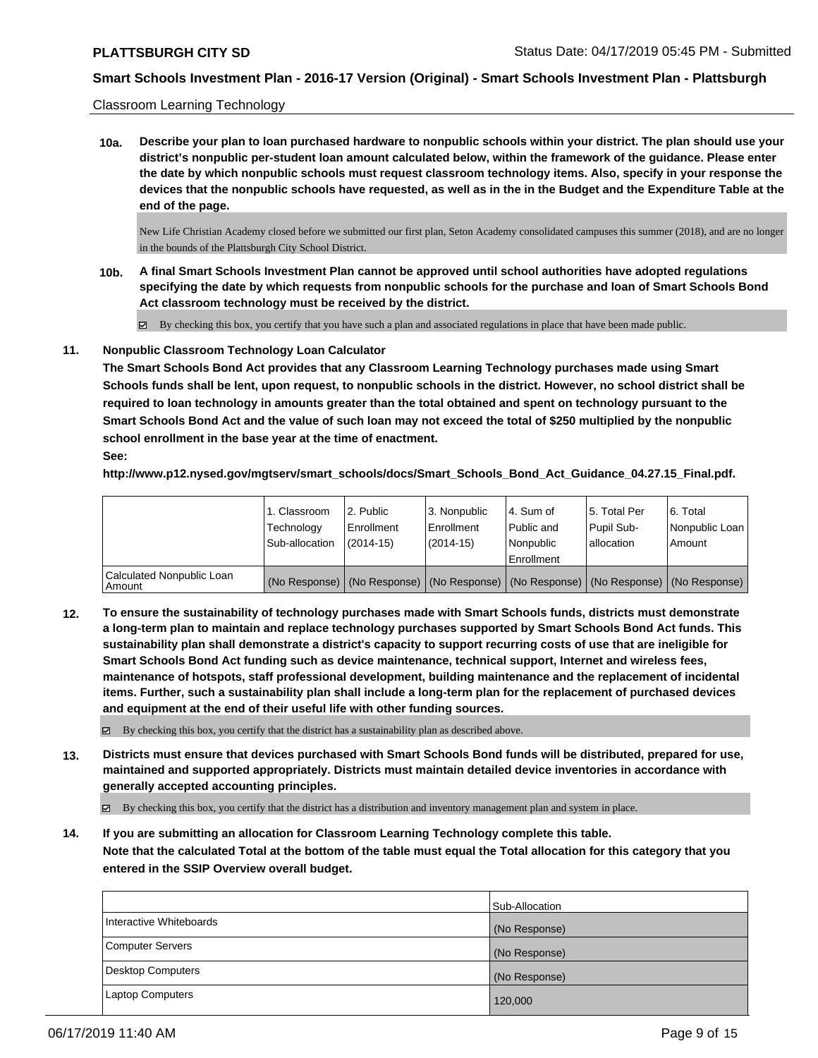#### Classroom Learning Technology

**10a. Describe your plan to loan purchased hardware to nonpublic schools within your district. The plan should use your district's nonpublic per-student loan amount calculated below, within the framework of the guidance. Please enter the date by which nonpublic schools must request classroom technology items. Also, specify in your response the devices that the nonpublic schools have requested, as well as in the in the Budget and the Expenditure Table at the end of the page.**

New Life Christian Academy closed before we submitted our first plan, Seton Academy consolidated campuses this summer (2018), and are no longer in the bounds of the Plattsburgh City School District.

- **10b. A final Smart Schools Investment Plan cannot be approved until school authorities have adopted regulations specifying the date by which requests from nonpublic schools for the purchase and loan of Smart Schools Bond Act classroom technology must be received by the district.**
	- $\boxtimes$  By checking this box, you certify that you have such a plan and associated regulations in place that have been made public.

#### **11. Nonpublic Classroom Technology Loan Calculator**

**The Smart Schools Bond Act provides that any Classroom Learning Technology purchases made using Smart Schools funds shall be lent, upon request, to nonpublic schools in the district. However, no school district shall be required to loan technology in amounts greater than the total obtained and spent on technology pursuant to the Smart Schools Bond Act and the value of such loan may not exceed the total of \$250 multiplied by the nonpublic school enrollment in the base year at the time of enactment. See:**

**http://www.p12.nysed.gov/mgtserv/smart\_schools/docs/Smart\_Schools\_Bond\_Act\_Guidance\_04.27.15\_Final.pdf.**

|                                       | 1. Classroom<br>Technology<br>Sub-allocation | 2. Public<br>Enrollment<br>$(2014-15)$ | 3. Nonpublic<br>Enrollment<br>$(2014-15)$ | l 4. Sum of<br>l Public and<br>l Nonpublic | 15. Total Per<br>Pupil Sub-<br>lallocation | 6. Total<br>Nonpublic Loan<br>Amount                                                          |
|---------------------------------------|----------------------------------------------|----------------------------------------|-------------------------------------------|--------------------------------------------|--------------------------------------------|-----------------------------------------------------------------------------------------------|
|                                       |                                              |                                        |                                           | l Enrollment                               |                                            |                                                                                               |
| Calculated Nonpublic Loan<br>l Amount |                                              |                                        |                                           |                                            |                                            | (No Response)   (No Response)   (No Response)   (No Response)   (No Response)   (No Response) |

**12. To ensure the sustainability of technology purchases made with Smart Schools funds, districts must demonstrate a long-term plan to maintain and replace technology purchases supported by Smart Schools Bond Act funds. This sustainability plan shall demonstrate a district's capacity to support recurring costs of use that are ineligible for Smart Schools Bond Act funding such as device maintenance, technical support, Internet and wireless fees, maintenance of hotspots, staff professional development, building maintenance and the replacement of incidental items. Further, such a sustainability plan shall include a long-term plan for the replacement of purchased devices and equipment at the end of their useful life with other funding sources.**

 $\boxtimes$  By checking this box, you certify that the district has a sustainability plan as described above.

**13. Districts must ensure that devices purchased with Smart Schools Bond funds will be distributed, prepared for use, maintained and supported appropriately. Districts must maintain detailed device inventories in accordance with generally accepted accounting principles.**

By checking this box, you certify that the district has a distribution and inventory management plan and system in place.

**14. If you are submitting an allocation for Classroom Learning Technology complete this table. Note that the calculated Total at the bottom of the table must equal the Total allocation for this category that you entered in the SSIP Overview overall budget.**

|                         | Sub-Allocation |
|-------------------------|----------------|
| Interactive Whiteboards | (No Response)  |
| Computer Servers        | (No Response)  |
| Desktop Computers       | (No Response)  |
| <b>Laptop Computers</b> | 120,000        |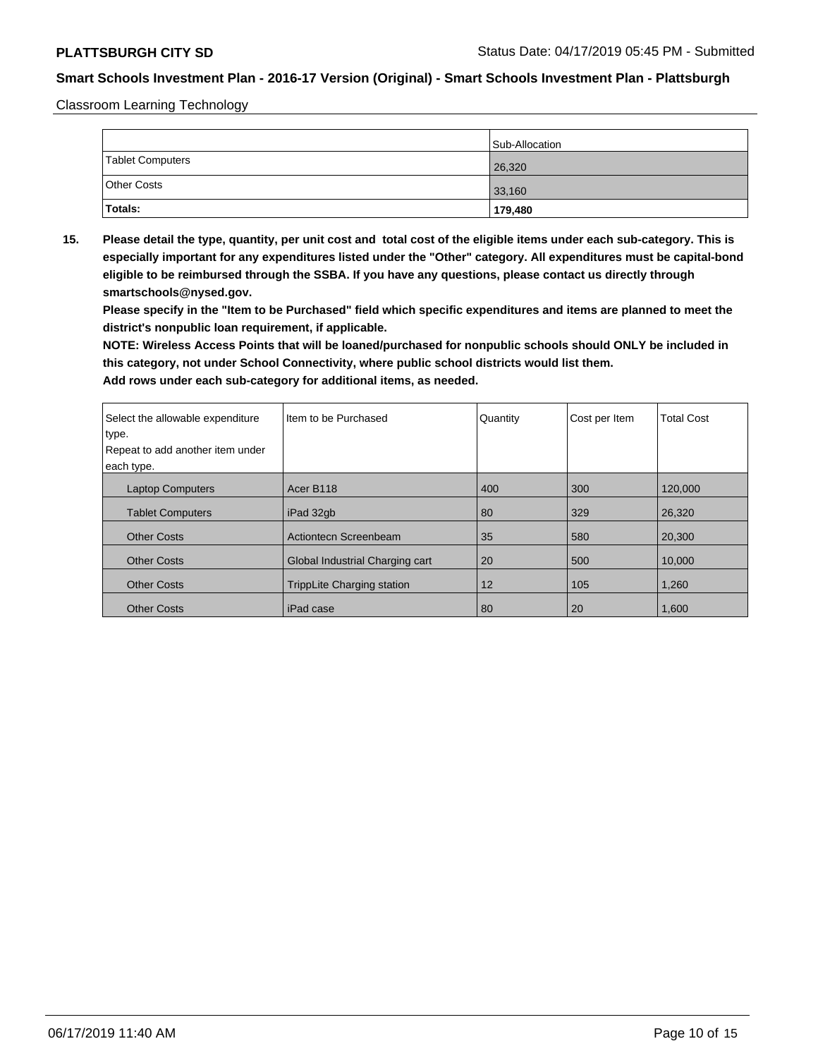Classroom Learning Technology

|                    | Sub-Allocation |
|--------------------|----------------|
| Tablet Computers   | 26,320         |
| <b>Other Costs</b> | 33,160         |
| Totals:            | 179,480        |

**15. Please detail the type, quantity, per unit cost and total cost of the eligible items under each sub-category. This is especially important for any expenditures listed under the "Other" category. All expenditures must be capital-bond eligible to be reimbursed through the SSBA. If you have any questions, please contact us directly through smartschools@nysed.gov.**

**Please specify in the "Item to be Purchased" field which specific expenditures and items are planned to meet the district's nonpublic loan requirement, if applicable.**

**NOTE: Wireless Access Points that will be loaned/purchased for nonpublic schools should ONLY be included in this category, not under School Connectivity, where public school districts would list them.**

| Select the allowable expenditure | Iltem to be Purchased             | Quantity | Cost per Item | <b>Total Cost</b> |
|----------------------------------|-----------------------------------|----------|---------------|-------------------|
| type.                            |                                   |          |               |                   |
| Repeat to add another item under |                                   |          |               |                   |
| each type.                       |                                   |          |               |                   |
| <b>Laptop Computers</b>          | Acer B118                         | 400      | 300           | 120,000           |
| <b>Tablet Computers</b>          | iPad 32gb                         | 80       | 329           | 26,320            |
| <b>Other Costs</b>               | Actiontecn Screenbeam             | 35       | 580           | 20,300            |
| <b>Other Costs</b>               | Global Industrial Charging cart   | 20       | 500           | 10.000            |
| <b>Other Costs</b>               | <b>TrippLite Charging station</b> | 12       | 105           | 1,260             |
| <b>Other Costs</b>               | iPad case                         | 80       | 20            | 1,600             |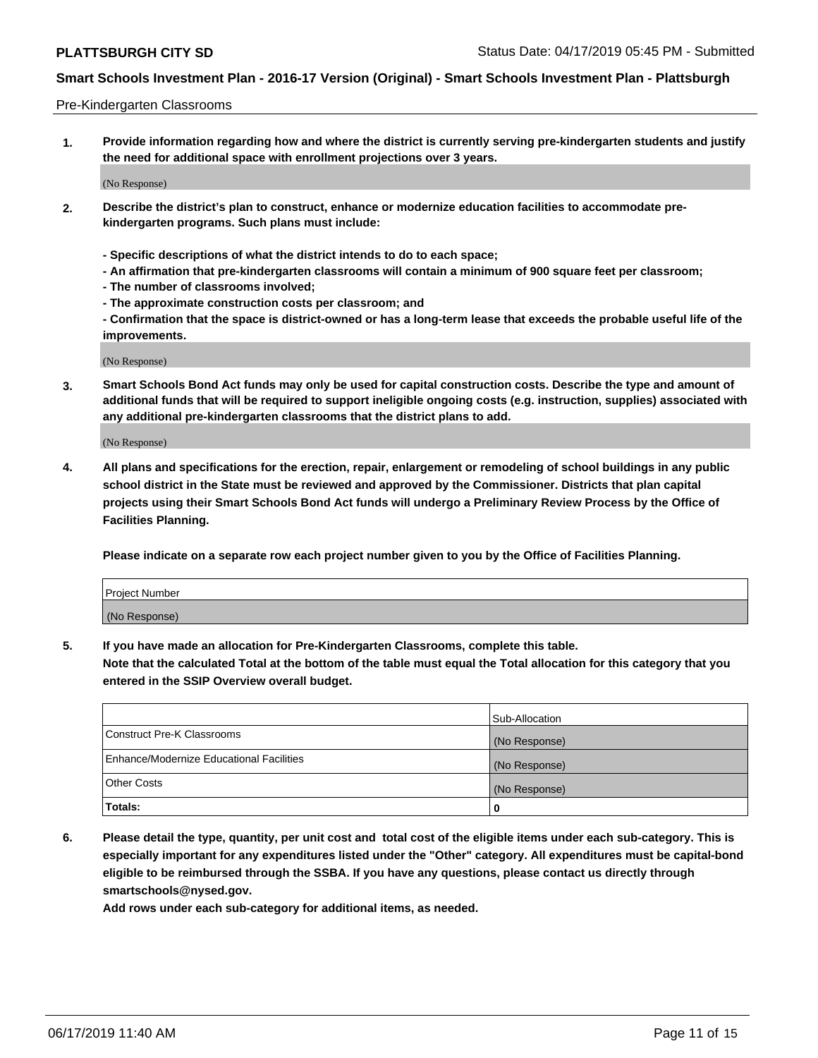#### Pre-Kindergarten Classrooms

**1. Provide information regarding how and where the district is currently serving pre-kindergarten students and justify the need for additional space with enrollment projections over 3 years.**

(No Response)

- **2. Describe the district's plan to construct, enhance or modernize education facilities to accommodate prekindergarten programs. Such plans must include:**
	- **Specific descriptions of what the district intends to do to each space;**
	- **An affirmation that pre-kindergarten classrooms will contain a minimum of 900 square feet per classroom;**
	- **The number of classrooms involved;**
	- **The approximate construction costs per classroom; and**
	- **Confirmation that the space is district-owned or has a long-term lease that exceeds the probable useful life of the improvements.**

(No Response)

**3. Smart Schools Bond Act funds may only be used for capital construction costs. Describe the type and amount of additional funds that will be required to support ineligible ongoing costs (e.g. instruction, supplies) associated with any additional pre-kindergarten classrooms that the district plans to add.**

(No Response)

**4. All plans and specifications for the erection, repair, enlargement or remodeling of school buildings in any public school district in the State must be reviewed and approved by the Commissioner. Districts that plan capital projects using their Smart Schools Bond Act funds will undergo a Preliminary Review Process by the Office of Facilities Planning.**

**Please indicate on a separate row each project number given to you by the Office of Facilities Planning.**

| Project Number |  |
|----------------|--|
| (No Response)  |  |
|                |  |

**5. If you have made an allocation for Pre-Kindergarten Classrooms, complete this table.**

**Note that the calculated Total at the bottom of the table must equal the Total allocation for this category that you entered in the SSIP Overview overall budget.**

|                                          | Sub-Allocation |
|------------------------------------------|----------------|
| Construct Pre-K Classrooms               | (No Response)  |
| Enhance/Modernize Educational Facilities | (No Response)  |
| <b>Other Costs</b>                       | (No Response)  |
| Totals:                                  | 0              |

**6. Please detail the type, quantity, per unit cost and total cost of the eligible items under each sub-category. This is especially important for any expenditures listed under the "Other" category. All expenditures must be capital-bond eligible to be reimbursed through the SSBA. If you have any questions, please contact us directly through smartschools@nysed.gov.**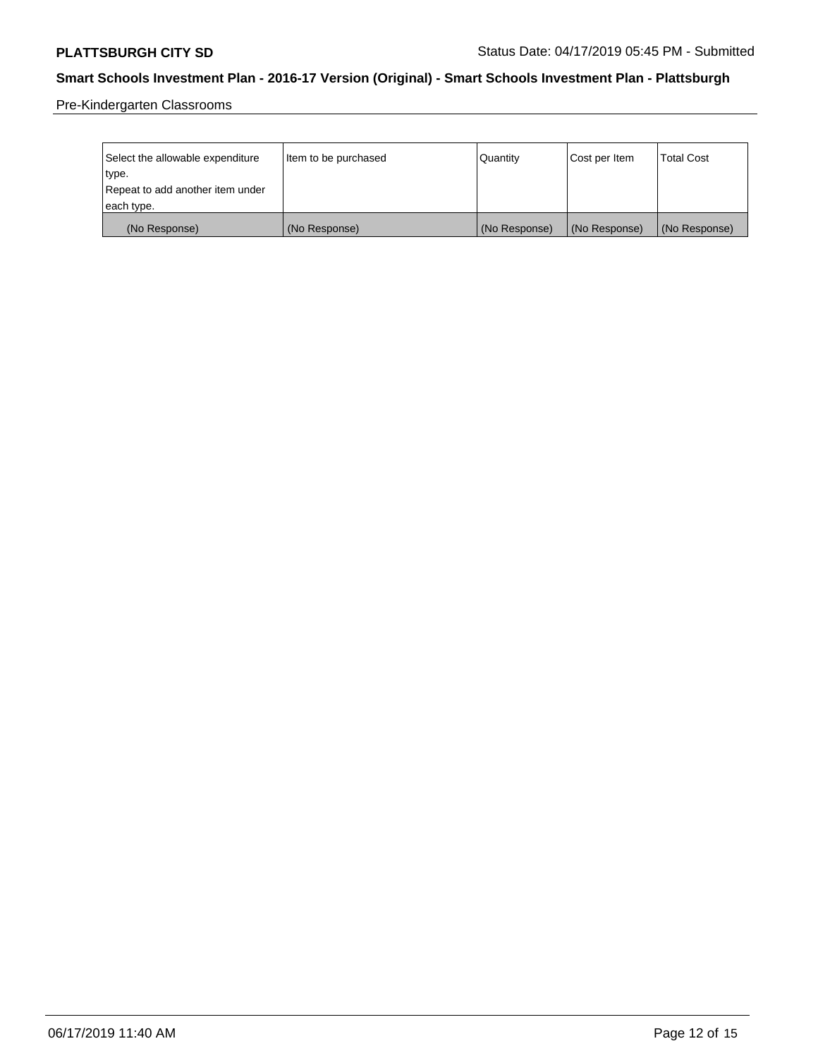Pre-Kindergarten Classrooms

| Select the allowable expenditure | Item to be purchased | Quantity      | Cost per Item | <b>Total Cost</b> |
|----------------------------------|----------------------|---------------|---------------|-------------------|
| type.                            |                      |               |               |                   |
| Repeat to add another item under |                      |               |               |                   |
| each type.                       |                      |               |               |                   |
| (No Response)                    | (No Response)        | (No Response) | (No Response) | (No Response)     |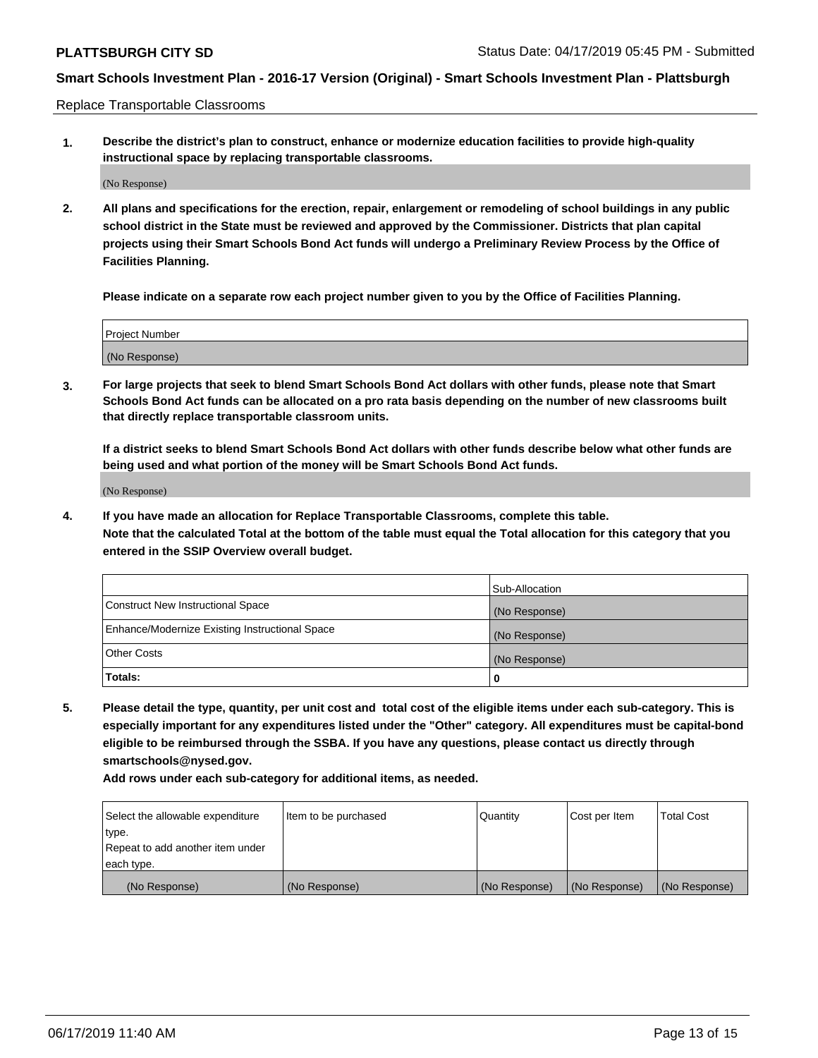Replace Transportable Classrooms

**1. Describe the district's plan to construct, enhance or modernize education facilities to provide high-quality instructional space by replacing transportable classrooms.**

(No Response)

**2. All plans and specifications for the erection, repair, enlargement or remodeling of school buildings in any public school district in the State must be reviewed and approved by the Commissioner. Districts that plan capital projects using their Smart Schools Bond Act funds will undergo a Preliminary Review Process by the Office of Facilities Planning.**

**Please indicate on a separate row each project number given to you by the Office of Facilities Planning.**

| Project Number |  |
|----------------|--|
|                |  |
|                |  |
|                |  |
|                |  |
| (No Response)  |  |
|                |  |
|                |  |
|                |  |

**3. For large projects that seek to blend Smart Schools Bond Act dollars with other funds, please note that Smart Schools Bond Act funds can be allocated on a pro rata basis depending on the number of new classrooms built that directly replace transportable classroom units.**

**If a district seeks to blend Smart Schools Bond Act dollars with other funds describe below what other funds are being used and what portion of the money will be Smart Schools Bond Act funds.**

(No Response)

**4. If you have made an allocation for Replace Transportable Classrooms, complete this table. Note that the calculated Total at the bottom of the table must equal the Total allocation for this category that you entered in the SSIP Overview overall budget.**

|                                                | Sub-Allocation |
|------------------------------------------------|----------------|
| Construct New Instructional Space              | (No Response)  |
| Enhance/Modernize Existing Instructional Space | (No Response)  |
| <b>Other Costs</b>                             | (No Response)  |
| Totals:                                        | 0              |

**5. Please detail the type, quantity, per unit cost and total cost of the eligible items under each sub-category. This is especially important for any expenditures listed under the "Other" category. All expenditures must be capital-bond eligible to be reimbursed through the SSBA. If you have any questions, please contact us directly through smartschools@nysed.gov.**

| Select the allowable expenditure | I ltem to be purchased | l Quantitv    | Cost per Item | <b>Total Cost</b> |
|----------------------------------|------------------------|---------------|---------------|-------------------|
| type.                            |                        |               |               |                   |
| Repeat to add another item under |                        |               |               |                   |
| each type.                       |                        |               |               |                   |
| (No Response)                    | (No Response)          | (No Response) | (No Response) | (No Response)     |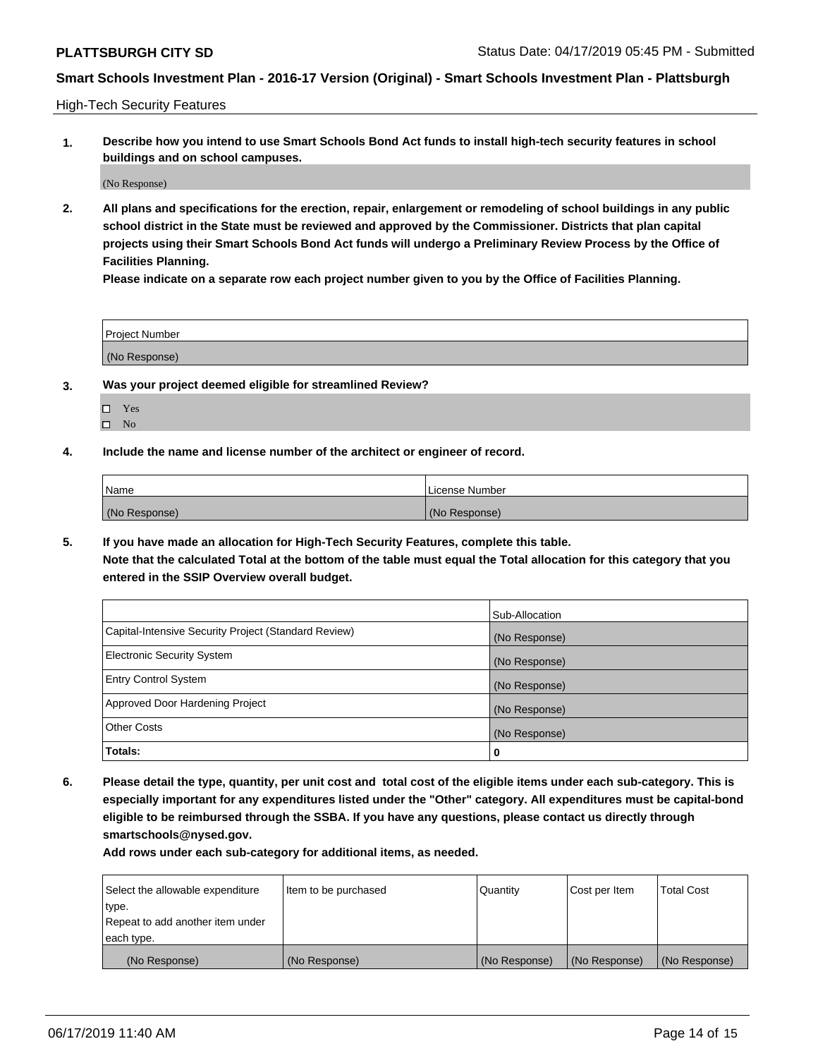High-Tech Security Features

**1. Describe how you intend to use Smart Schools Bond Act funds to install high-tech security features in school buildings and on school campuses.**

(No Response)

**2. All plans and specifications for the erection, repair, enlargement or remodeling of school buildings in any public school district in the State must be reviewed and approved by the Commissioner. Districts that plan capital projects using their Smart Schools Bond Act funds will undergo a Preliminary Review Process by the Office of Facilities Planning.** 

**Please indicate on a separate row each project number given to you by the Office of Facilities Planning.**

| <b>Project Number</b> |  |
|-----------------------|--|
| (No Response)         |  |

- **3. Was your project deemed eligible for streamlined Review?**
	- Yes
	- $\square$  No
- **4. Include the name and license number of the architect or engineer of record.**

| <b>Name</b>   | License Number |
|---------------|----------------|
| (No Response) | (No Response)  |

**5. If you have made an allocation for High-Tech Security Features, complete this table.**

**Note that the calculated Total at the bottom of the table must equal the Total allocation for this category that you entered in the SSIP Overview overall budget.**

|                                                      | Sub-Allocation |
|------------------------------------------------------|----------------|
| Capital-Intensive Security Project (Standard Review) | (No Response)  |
| <b>Electronic Security System</b>                    | (No Response)  |
| <b>Entry Control System</b>                          | (No Response)  |
| Approved Door Hardening Project                      | (No Response)  |
| <b>Other Costs</b>                                   | (No Response)  |
| Totals:                                              | 0              |

**6. Please detail the type, quantity, per unit cost and total cost of the eligible items under each sub-category. This is especially important for any expenditures listed under the "Other" category. All expenditures must be capital-bond eligible to be reimbursed through the SSBA. If you have any questions, please contact us directly through smartschools@nysed.gov.**

| Select the allowable expenditure | Item to be purchased | Quantity      | Cost per Item | <b>Total Cost</b> |
|----------------------------------|----------------------|---------------|---------------|-------------------|
| type.                            |                      |               |               |                   |
| Repeat to add another item under |                      |               |               |                   |
| each type.                       |                      |               |               |                   |
| (No Response)                    | (No Response)        | (No Response) | (No Response) | (No Response)     |